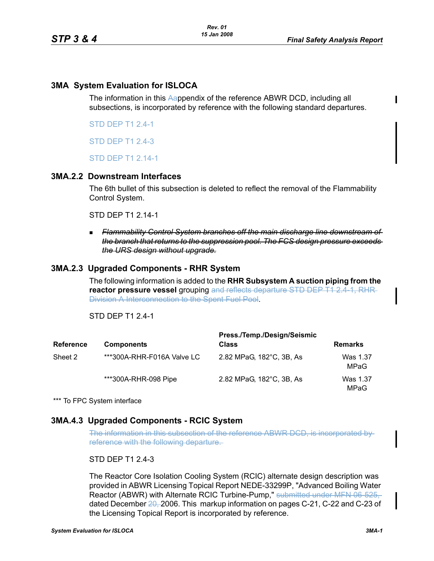# **3MA System Evaluation for ISLOCA**

The information in this Aappendix of the reference ABWR DCD, including all subsections, is incorporated by reference with the following standard departures.

STD DEP T1 2.4-1

STD DEP T1 2.4-3

STD DEP T1 2.14-1

#### **3MA.2.2 Downstream Interfaces**

The 6th bullet of this subsection is deleted to reflect the removal of the Flammability Control System.

STD DEP T1 2.14-1

 *Flammability Control System branches off the main discharge line downstream of the branch that returns to the suppression pool. The FCS design pressure exceeds the URS design without upgrade.*

## **3MA.2.3 Upgraded Components - RHR System**

The following information is added to the **RHR Subsystem A suction piping from the reactor pressure vessel** grouping and reflects departure STD DEP T1 2.4-1, RHR Division A Interconnection to the Spent Fuel Pool.

STD DEP T1 2.4-1

|                  |                            | Press./Temp./Design/Seismic |                  |
|------------------|----------------------------|-----------------------------|------------------|
| <b>Reference</b> | <b>Components</b>          | <b>Class</b>                | <b>Remarks</b>   |
| Sheet 2          | ***300A-RHR-F016A Valve LC | 2.82 MPaG, 182°C, 3B, As    | Was 1.37<br>MPaG |
|                  | ***300A-RHR-098 Pipe       | 2.82 MPaG, 182°C, 3B, As    | Was 1.37<br>MPaG |

\*\*\* To FPC System interface

## **3MA.4.3 Upgraded Components - RCIC System**

The information in this subsection of the reference ABWR DCD, is incorporated by reference with the following departure.

## STD DEP T1 2.4-3

The Reactor Core Isolation Cooling System (RCIC) alternate design description was provided in ABWR Licensing Topical Report NEDE-33299P, "Advanced Boiling Water Reactor (ABWR) with Alternate RCIC Turbine-Pump," submitted under MFN 06-525, dated December 20, 2006. This markup information on pages C-21, C-22 and C-23 of the Licensing Topical Report is incorporated by reference.